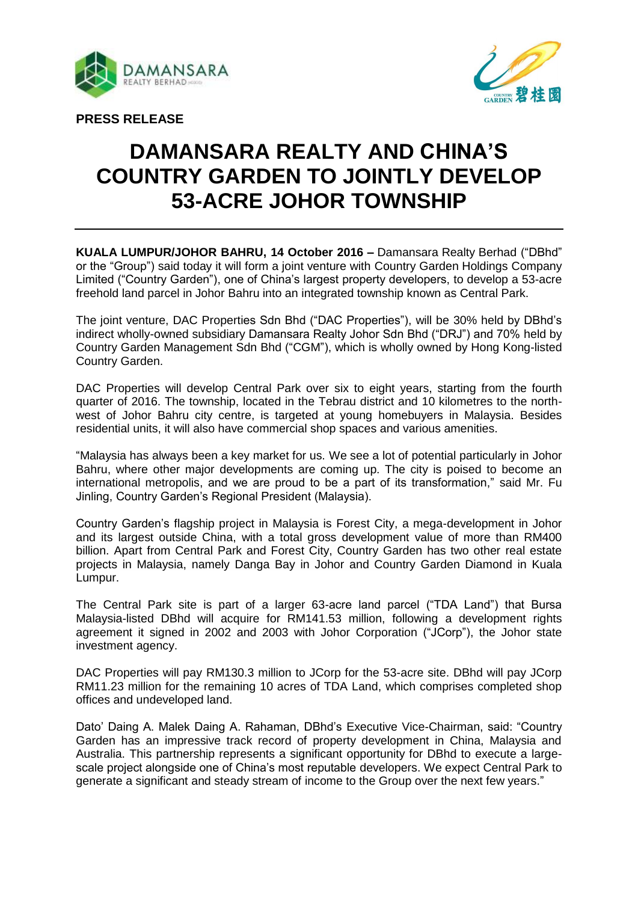



**PRESS RELEASE**

# **DAMANSARA REALTY AND CHINA'S COUNTRY GARDEN TO JOINTLY DEVELOP 53-ACRE JOHOR TOWNSHIP**

**KUALA LUMPUR/JOHOR BAHRU, 14 October 2016 –** Damansara Realty Berhad ("DBhd" or the "Group") said today it will form a joint venture with Country Garden Holdings Company Limited ("Country Garden"), one of China's largest property developers, to develop a 53-acre freehold land parcel in Johor Bahru into an integrated township known as Central Park.

The joint venture, DAC Properties Sdn Bhd ("DAC Properties"), will be 30% held by DBhd's indirect wholly-owned subsidiary Damansara Realty Johor Sdn Bhd ("DRJ") and 70% held by Country Garden Management Sdn Bhd ("CGM"), which is wholly owned by Hong Kong-listed Country Garden.

DAC Properties will develop Central Park over six to eight years, starting from the fourth quarter of 2016. The township, located in the Tebrau district and 10 kilometres to the northwest of Johor Bahru city centre, is targeted at young homebuyers in Malaysia. Besides residential units, it will also have commercial shop spaces and various amenities.

"Malaysia has always been a key market for us. We see a lot of potential particularly in Johor Bahru, where other major developments are coming up. The city is poised to become an international metropolis, and we are proud to be a part of its transformation," said Mr. Fu Jinling, Country Garden's Regional President (Malaysia).

Country Garden's flagship project in Malaysia is Forest City, a mega-development in Johor and its largest outside China, with a total gross development value of more than RM400 billion. Apart from Central Park and Forest City, Country Garden has two other real estate projects in Malaysia, namely Danga Bay in Johor and Country Garden Diamond in Kuala Lumpur.

The Central Park site is part of a larger 63-acre land parcel ("TDA Land") that Bursa Malaysia-listed DBhd will acquire for RM141.53 million, following a development rights agreement it signed in 2002 and 2003 with Johor Corporation ("JCorp"), the Johor state investment agency.

DAC Properties will pay RM130.3 million to JCorp for the 53-acre site. DBhd will pay JCorp RM11.23 million for the remaining 10 acres of TDA Land, which comprises completed shop offices and undeveloped land.

Dato' Daing A. Malek Daing A. Rahaman, DBhd's Executive Vice-Chairman, said: "Country Garden has an impressive track record of property development in China, Malaysia and Australia. This partnership represents a significant opportunity for DBhd to execute a largescale project alongside one of China's most reputable developers. We expect Central Park to generate a significant and steady stream of income to the Group over the next few years."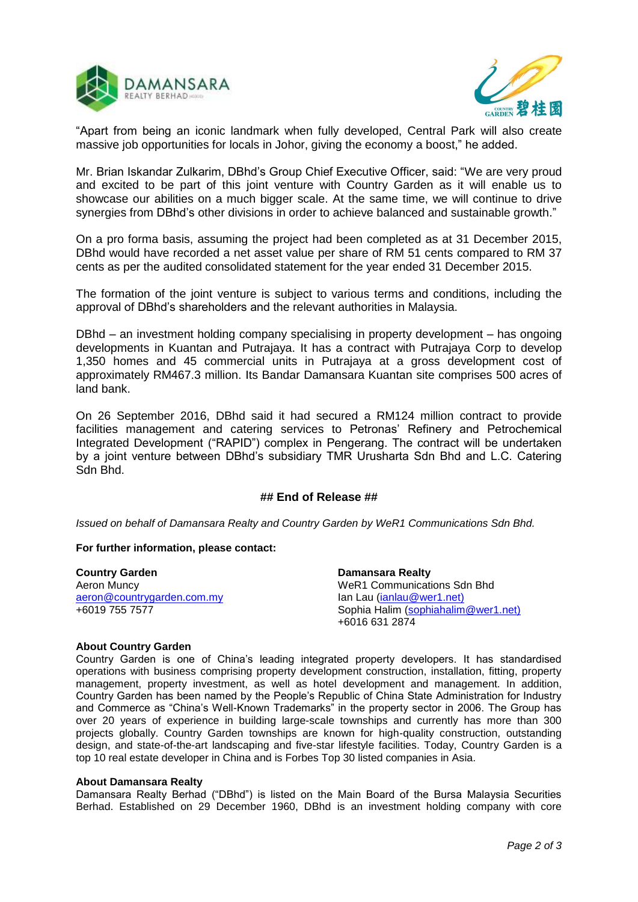



"Apart from being an iconic landmark when fully developed, Central Park will also create massive job opportunities for locals in Johor, giving the economy a boost," he added.

Mr. Brian Iskandar Zulkarim, DBhd's Group Chief Executive Officer, said: "We are very proud and excited to be part of this joint venture with Country Garden as it will enable us to showcase our abilities on a much bigger scale. At the same time, we will continue to drive synergies from DBhd's other divisions in order to achieve balanced and sustainable growth."

On a pro forma basis, assuming the project had been completed as at 31 December 2015, DBhd would have recorded a net asset value per share of RM 51 cents compared to RM 37 cents as per the audited consolidated statement for the year ended 31 December 2015.

The formation of the joint venture is subject to various terms and conditions, including the approval of DBhd's shareholders and the relevant authorities in Malaysia.

DBhd – an investment holding company specialising in property development – has ongoing developments in Kuantan and Putrajaya. It has a contract with Putrajaya Corp to develop 1,350 homes and 45 commercial units in Putrajaya at a gross development cost of approximately RM467.3 million. Its Bandar Damansara Kuantan site comprises 500 acres of land bank.

On 26 September 2016, DBhd said it had secured a RM124 million contract to provide facilities management and catering services to Petronas' Refinery and Petrochemical Integrated Development ("RAPID") complex in Pengerang. The contract will be undertaken by a joint venture between DBhd's subsidiary TMR Urusharta Sdn Bhd and L.C. Catering Sdn Bhd.

## **## End of Release ##**

*Issued on behalf of Damansara Realty and Country Garden by WeR1 Communications Sdn Bhd.*

### **For further information, please contact:**

**Country Garden**  Aeron Muncy [aeron@countrygarden.com.my](mailto:aeron@countrygarden.com.my) +6019 755 7577

**Damansara Realty** WeR1 Communications Sdn Bhd Ian Lau [\(ianlau@wer1.net\)](mailto:ianlau@wer1.net)) Sophia Halim [\(sophiahalim@wer1.net\)](mailto:sophiahalim@wer1.net)) +6016 631 2874

### **About Country Garden**

Country Garden is one of China's leading integrated property developers. It has standardised operations with business comprising property development construction, installation, fitting, property management, property investment, as well as hotel development and management. In addition, Country Garden has been named by the People's Republic of China State Administration for Industry and Commerce as "China's Well-Known Trademarks" in the property sector in 2006. The Group has over 20 years of experience in building large-scale townships and currently has more than 300 projects globally. Country Garden townships are known for high-quality construction, outstanding design, and state-of-the-art landscaping and five-star lifestyle facilities. Today, Country Garden is a top 10 real estate developer in China and is Forbes Top 30 listed companies in Asia.

### **About Damansara Realty**

Damansara Realty Berhad ("DBhd") is listed on the Main Board of the Bursa Malaysia Securities Berhad. Established on 29 December 1960, DBhd is an investment holding company with core